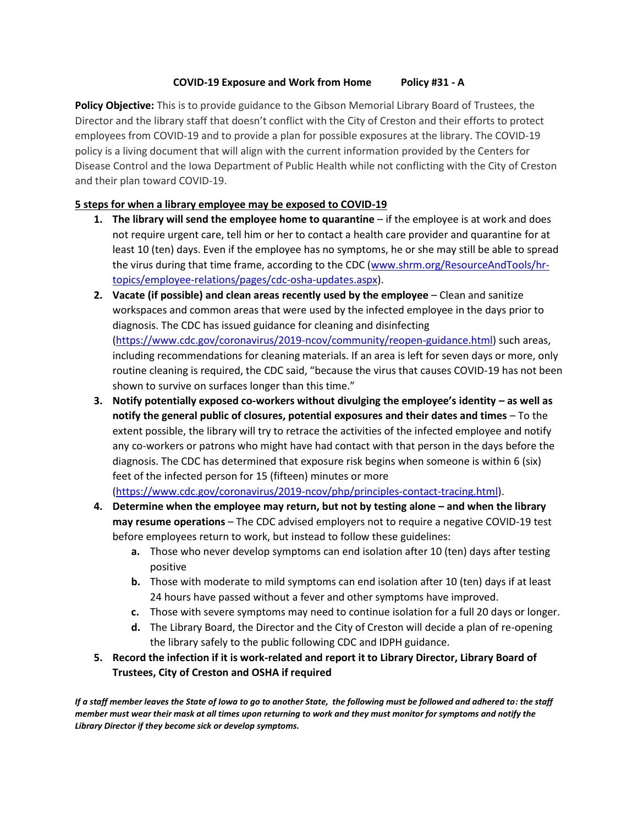## **COVID-19 Exposure and Work from Home Policy #31 - A**

**Policy Objective:** This is to provide guidance to the Gibson Memorial Library Board of Trustees, the Director and the library staff that doesn't conflict with the City of Creston and their efforts to protect employees from COVID-19 and to provide a plan for possible exposures at the library. The COVID-19 policy is a living document that will align with the current information provided by the Centers for Disease Control and the Iowa Department of Public Health while not conflicting with the City of Creston and their plan toward COVID-19.

# **5 steps for when a library employee may be exposed to COVID-19**

- **1. The library will send the employee home to quarantine** if the employee is at work and does not require urgent care, tell him or her to contact a health care provider and quarantine for at least 10 (ten) days. Even if the employee has no symptoms, he or she may still be able to spread the virus during that time frame, according to the CDC [\(www.shrm.org/ResourceAndTools/hr](http://www.shrm.org/ResourceAndTools/hr-topics/employee-relations/pages/cdc-osha-updates.aspx)[topics/employee-relations/pages/cdc-osha-updates.aspx\)](http://www.shrm.org/ResourceAndTools/hr-topics/employee-relations/pages/cdc-osha-updates.aspx).
- **2. Vacate (if possible) and clean areas recently used by the employee** Clean and sanitize workspaces and common areas that were used by the infected employee in the days prior to diagnosis. The CDC has issued guidance for cleaning and disinfecting [\(https://www.cdc.gov/coronavirus/2019-ncov/community/reopen-guidance.html\)](https://www.cdc.gov/coronavirus/2019-ncov/community/reopen-guidance.html) such areas, including recommendations for cleaning materials. If an area is left for seven days or more, only routine cleaning is required, the CDC said, "because the virus that causes COVID-19 has not been shown to survive on surfaces longer than this time."
- **3. Notify potentially exposed co-workers without divulging the employee's identity – as well as notify the general public of closures, potential exposures and their dates and times** – To the extent possible, the library will try to retrace the activities of the infected employee and notify any co-workers or patrons who might have had contact with that person in the days before the diagnosis. The CDC has determined that exposure risk begins when someone is within 6 (six) feet of the infected person for 15 (fifteen) minutes or more

[\(https://www.cdc.gov/coronavirus/2019-ncov/php/principles-contact-tracing.html\)](https://www.cdc.gov/coronavirus/2019-ncov/php/principles-contact-tracing.html).

- **4. Determine when the employee may return, but not by testing alone – and when the library may resume operations** – The CDC advised employers not to require a negative COVID-19 test before employees return to work, but instead to follow these guidelines:
	- **a.** Those who never develop symptoms can end isolation after 10 (ten) days after testing positive
	- **b.** Those with moderate to mild symptoms can end isolation after 10 (ten) days if at least 24 hours have passed without a fever and other symptoms have improved.
	- **c.** Those with severe symptoms may need to continue isolation for a full 20 days or longer.
	- **d.** The Library Board, the Director and the City of Creston will decide a plan of re-opening the library safely to the public following CDC and IDPH guidance.
- **5. Record the infection if it is work-related and report it to Library Director, Library Board of Trustees, City of Creston and OSHA if required**

*If a staff member leaves the State of Iowa to go to another State, the following must be followed and adhered to: the staff member must wear their mask at all times upon returning to work and they must monitor for symptoms and notify the Library Director if they become sick or develop symptoms.*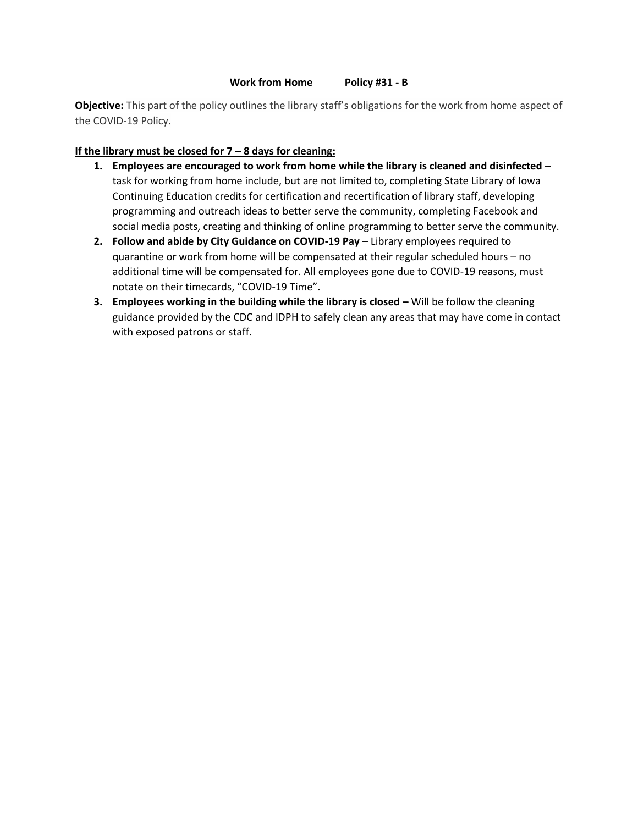**Objective:** This part of the policy outlines the library staff's obligations for the work from home aspect of the COVID-19 Policy.

### **If the library must be closed for 7 – 8 days for cleaning:**

- **1. Employees are encouraged to work from home while the library is cleaned and disinfected** task for working from home include, but are not limited to, completing State Library of Iowa Continuing Education credits for certification and recertification of library staff, developing programming and outreach ideas to better serve the community, completing Facebook and social media posts, creating and thinking of online programming to better serve the community.
- **2. Follow and abide by City Guidance on COVID-19 Pay** Library employees required to quarantine or work from home will be compensated at their regular scheduled hours – no additional time will be compensated for. All employees gone due to COVID-19 reasons, must notate on their timecards, "COVID-19 Time".
- **3. Employees working in the building while the library is closed Will be follow the cleaning** guidance provided by the CDC and IDPH to safely clean any areas that may have come in contact with exposed patrons or staff.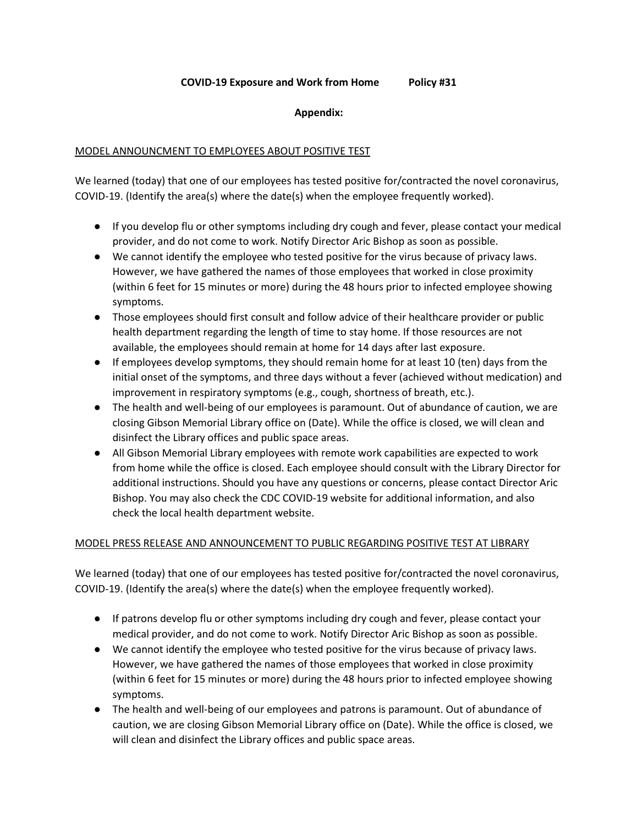### **COVID-19 Exposure and Work from Home Policy #31**

#### **Appendix:**

### MODEL ANNOUNCMENT TO EMPLOYEES ABOUT POSITIVE TEST

We learned (today) that one of our employees has tested positive for/contracted the novel coronavirus, COVID-19. (Identify the area(s) where the date(s) when the employee frequently worked).

- If you develop flu or other symptoms including dry cough and fever, please contact your medical provider, and do not come to work. Notify Director Aric Bishop as soon as possible.
- We cannot identify the employee who tested positive for the virus because of privacy laws. However, we have gathered the names of those employees that worked in close proximity (within 6 feet for 15 minutes or more) during the 48 hours prior to infected employee showing symptoms.
- Those employees should first consult and follow advice of their healthcare provider or public health department regarding the length of time to stay home. If those resources are not available, the employees should remain at home for 14 days after last exposure.
- If employees develop symptoms, they should remain home for at least 10 (ten) days from the initial onset of the symptoms, and three days without a fever (achieved without medication) and improvement in respiratory symptoms (e.g., cough, shortness of breath, etc.).
- The health and well-being of our employees is paramount. Out of abundance of caution, we are closing Gibson Memorial Library office on (Date). While the office is closed, we will clean and disinfect the Library offices and public space areas.
- All Gibson Memorial Library employees with remote work capabilities are expected to work from home while the office is closed. Each employee should consult with the Library Director for additional instructions. Should you have any questions or concerns, please contact Director Aric Bishop. You may also check the CDC COVID-19 website for additional information, and also check the local health department website.

### MODEL PRESS RELEASE AND ANNOUNCEMENT TO PUBLIC REGARDING POSITIVE TEST AT LIBRARY

We learned (today) that one of our employees has tested positive for/contracted the novel coronavirus, COVID-19. (Identify the area(s) where the date(s) when the employee frequently worked).

- If patrons develop flu or other symptoms including dry cough and fever, please contact your medical provider, and do not come to work. Notify Director Aric Bishop as soon as possible.
- We cannot identify the employee who tested positive for the virus because of privacy laws. However, we have gathered the names of those employees that worked in close proximity (within 6 feet for 15 minutes or more) during the 48 hours prior to infected employee showing symptoms.
- The health and well-being of our employees and patrons is paramount. Out of abundance of caution, we are closing Gibson Memorial Library office on (Date). While the office is closed, we will clean and disinfect the Library offices and public space areas.